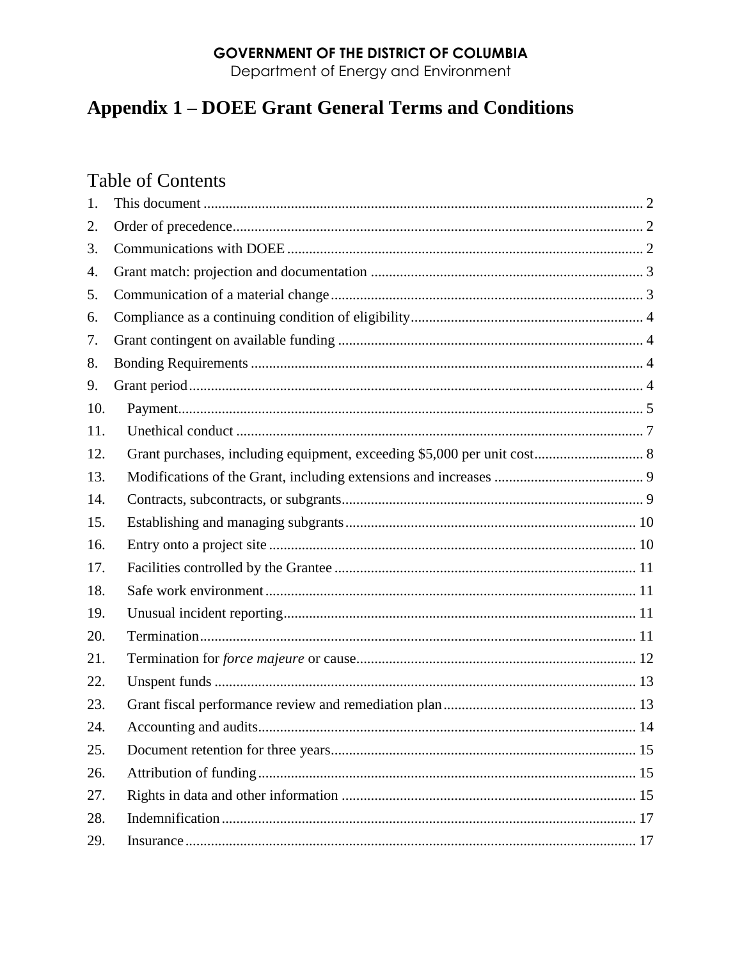# **GOVERNMENT OF THE DISTRICT OF COLUMBIA**

Department of Energy and Environment

# **Appendix 1 - DOEE Grant General Terms and Conditions**

# **Table of Contents**

| 1.  |  |
|-----|--|
| 2.  |  |
| 3.  |  |
| 4.  |  |
| 5.  |  |
| 6.  |  |
| 7.  |  |
| 8.  |  |
| 9.  |  |
| 10. |  |
| 11. |  |
| 12. |  |
| 13. |  |
| 14. |  |
| 15. |  |
| 16. |  |
| 17. |  |
| 18. |  |
| 19. |  |
| 20. |  |
| 21. |  |
| 22. |  |
| 23. |  |
| 24. |  |
| 25. |  |
| 26. |  |
| 27. |  |
| 28. |  |
| 29. |  |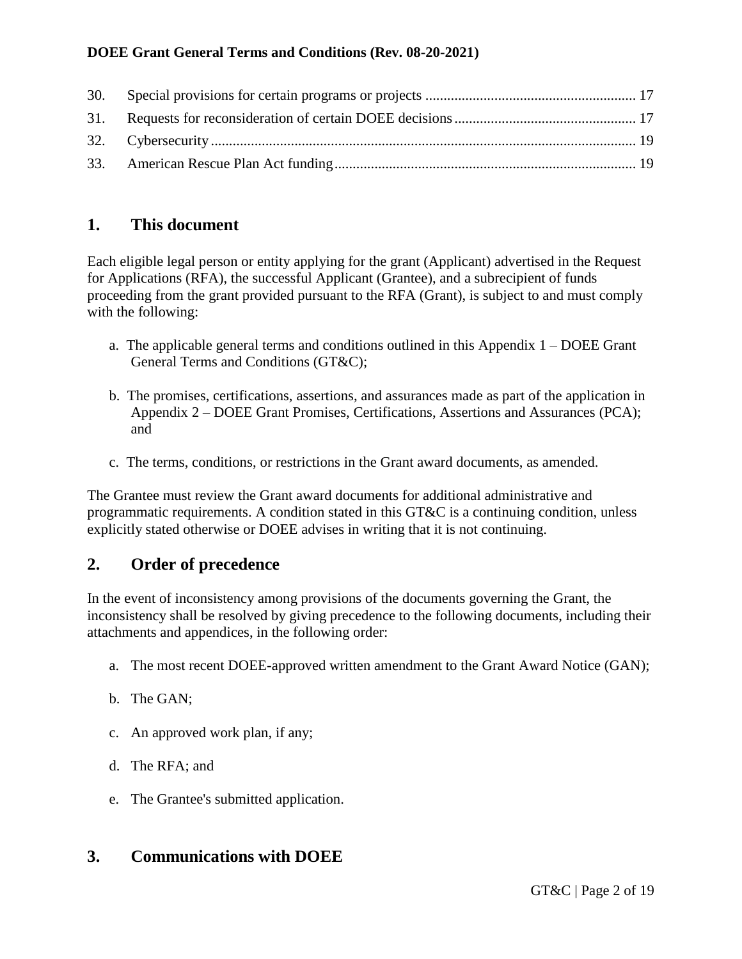# <span id="page-1-0"></span>**1. This document**

Each eligible legal person or entity applying for the grant (Applicant) advertised in the Request for Applications (RFA), the successful Applicant (Grantee), and a subrecipient of funds proceeding from the grant provided pursuant to the RFA (Grant), is subject to and must comply with the following:

- a. The applicable general terms and conditions outlined in this Appendix 1 DOEE Grant General Terms and Conditions (GT&C);
- b. The promises, certifications, assertions, and assurances made as part of the application in Appendix 2 – DOEE Grant Promises, Certifications, Assertions and Assurances (PCA); and
- c. The terms, conditions, or restrictions in the Grant award documents, as amended.

The Grantee must review the Grant award documents for additional administrative and programmatic requirements. A condition stated in this GT&C is a continuing condition, unless explicitly stated otherwise or DOEE advises in writing that it is not continuing.

# <span id="page-1-1"></span>**2. Order of precedence**

In the event of inconsistency among provisions of the documents governing the Grant, the inconsistency shall be resolved by giving precedence to the following documents, including their attachments and appendices, in the following order:

- a. The most recent DOEE-approved written amendment to the Grant Award Notice (GAN);
- b. The GAN;
- c. An approved work plan, if any;
- d. The RFA; and
- e. The Grantee's submitted application.

# <span id="page-1-2"></span>**3. Communications with DOEE**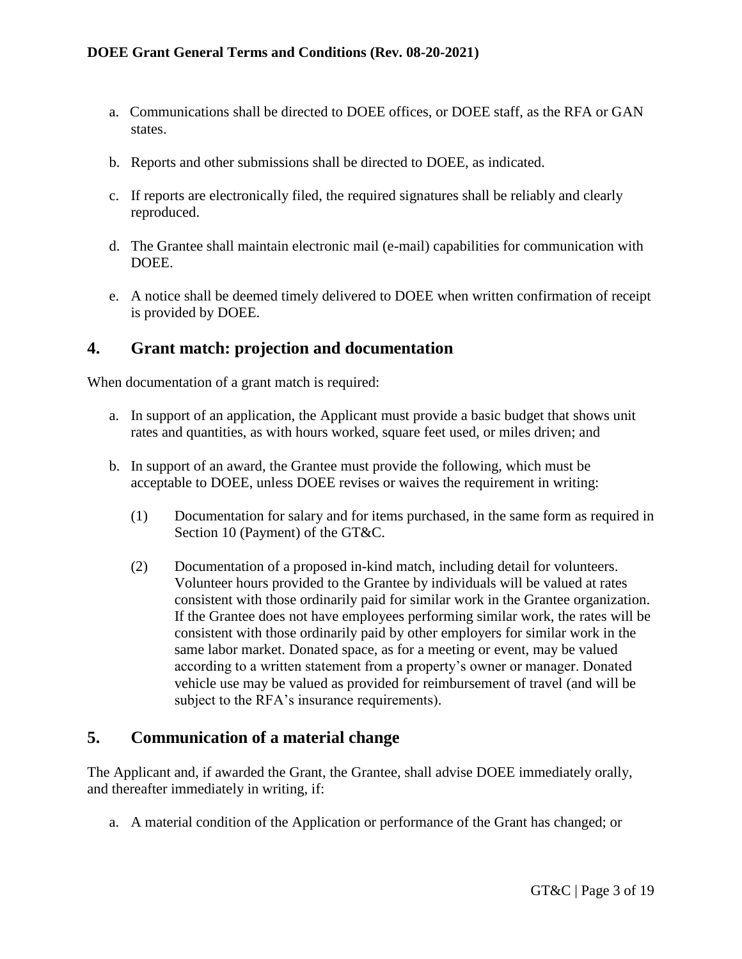- a. Communications shall be directed to DOEE offices, or DOEE staff, as the RFA or GAN states.
- b. Reports and other submissions shall be directed to DOEE, as indicated.
- c. If reports are electronically filed, the required signatures shall be reliably and clearly reproduced.
- d. The Grantee shall maintain electronic mail (e-mail) capabilities for communication with DOEE.
- e. A notice shall be deemed timely delivered to DOEE when written confirmation of receipt is provided by DOEE.

## <span id="page-2-0"></span>**4. Grant match: projection and documentation**

When documentation of a grant match is required:

- a. In support of an application, the Applicant must provide a basic budget that shows unit rates and quantities, as with hours worked, square feet used, or miles driven; and
- b. In support of an award, the Grantee must provide the following, which must be acceptable to DOEE, unless DOEE revises or waives the requirement in writing:
	- (1) Documentation for salary and for items purchased, in the same form as required in Section 10 (Payment) of the GT&C.
	- (2) Documentation of a proposed in-kind match, including detail for volunteers. Volunteer hours provided to the Grantee by individuals will be valued at rates consistent with those ordinarily paid for similar work in the Grantee organization. If the Grantee does not have employees performing similar work, the rates will be consistent with those ordinarily paid by other employers for similar work in the same labor market. Donated space, as for a meeting or event, may be valued according to a written statement from a property's owner or manager. Donated vehicle use may be valued as provided for reimbursement of travel (and will be subject to the RFA's insurance requirements).

## <span id="page-2-1"></span>**5. Communication of a material change**

The Applicant and, if awarded the Grant, the Grantee, shall advise DOEE immediately orally, and thereafter immediately in writing, if:

a. A material condition of the Application or performance of the Grant has changed; or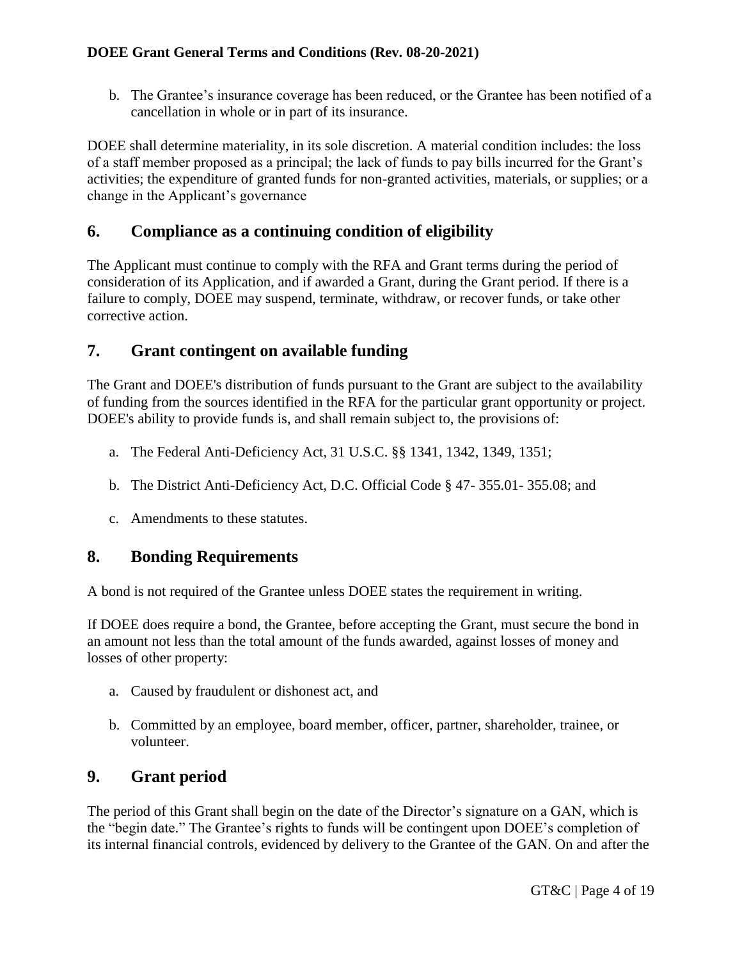b. The Grantee's insurance coverage has been reduced, or the Grantee has been notified of a cancellation in whole or in part of its insurance.

DOEE shall determine materiality, in its sole discretion. A material condition includes: the loss of a staff member proposed as a principal; the lack of funds to pay bills incurred for the Grant's activities; the expenditure of granted funds for non-granted activities, materials, or supplies; or a change in the Applicant's governance

# <span id="page-3-0"></span>**6. Compliance as a continuing condition of eligibility**

The Applicant must continue to comply with the RFA and Grant terms during the period of consideration of its Application, and if awarded a Grant, during the Grant period. If there is a failure to comply, DOEE may suspend, terminate, withdraw, or recover funds, or take other corrective action.

## <span id="page-3-1"></span>**7. Grant contingent on available funding**

The Grant and DOEE's distribution of funds pursuant to the Grant are subject to the availability of funding from the sources identified in the RFA for the particular grant opportunity or project. DOEE's ability to provide funds is, and shall remain subject to, the provisions of:

- a. The Federal Anti-Deficiency Act, 31 U.S.C. §§ 1341, 1342, 1349, 1351;
- b. The District Anti-Deficiency Act, D.C. Official Code § 47- 355.01- 355.08; and
- c. Amendments to these statutes.

# <span id="page-3-2"></span>**8. Bonding Requirements**

A bond is not required of the Grantee unless DOEE states the requirement in writing.

If DOEE does require a bond, the Grantee, before accepting the Grant, must secure the bond in an amount not less than the total amount of the funds awarded, against losses of money and losses of other property:

- a. Caused by fraudulent or dishonest act, and
- b. Committed by an employee, board member, officer, partner, shareholder, trainee, or volunteer.

# <span id="page-3-3"></span>**9. Grant period**

The period of this Grant shall begin on the date of the Director's signature on a GAN, which is the "begin date." The Grantee's rights to funds will be contingent upon DOEE's completion of its internal financial controls, evidenced by delivery to the Grantee of the GAN. On and after the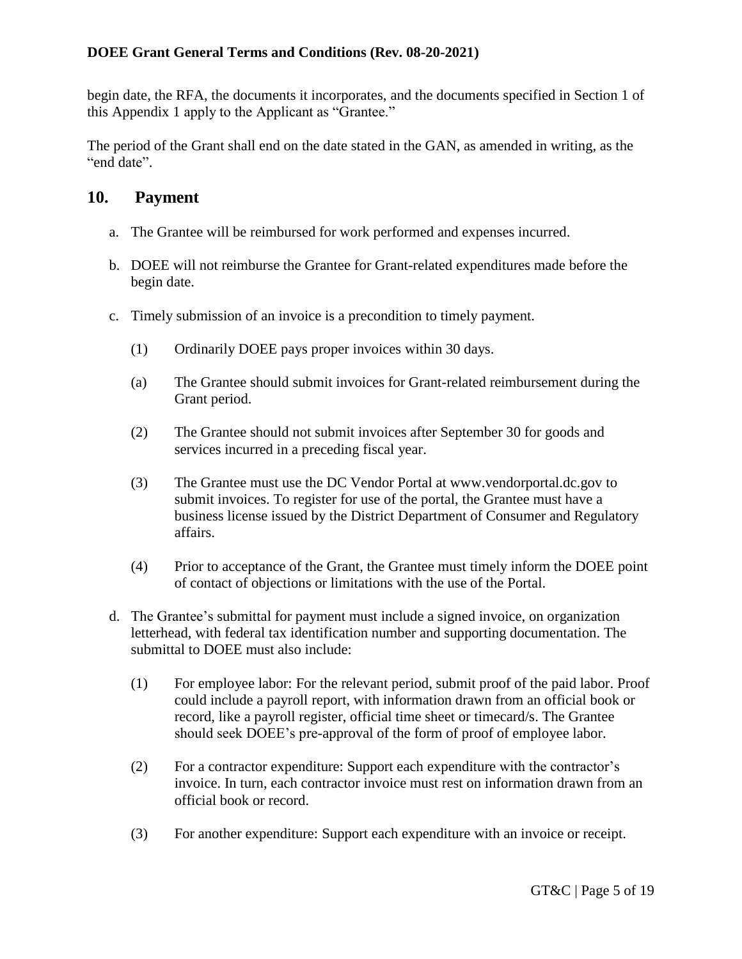begin date, the RFA, the documents it incorporates, and the documents specified in Section 1 of this Appendix 1 apply to the Applicant as "Grantee."

The period of the Grant shall end on the date stated in the GAN, as amended in writing, as the "end date".

#### **10. Payment**

- <span id="page-4-0"></span>a. The Grantee will be reimbursed for work performed and expenses incurred.
- b. DOEE will not reimburse the Grantee for Grant-related expenditures made before the begin date.
- c. Timely submission of an invoice is a precondition to timely payment.
	- (1) Ordinarily DOEE pays proper invoices within 30 days.
	- (a) The Grantee should submit invoices for Grant-related reimbursement during the Grant period.
	- (2) The Grantee should not submit invoices after September 30 for goods and services incurred in a preceding fiscal year.
	- (3) The Grantee must use the DC Vendor Portal at www.vendorportal.dc.gov to submit invoices. To register for use of the portal, the Grantee must have a business license issued by the District Department of Consumer and Regulatory affairs.
	- (4) Prior to acceptance of the Grant, the Grantee must timely inform the DOEE point of contact of objections or limitations with the use of the Portal.
- d. The Grantee's submittal for payment must include a signed invoice, on organization letterhead, with federal tax identification number and supporting documentation. The submittal to DOEE must also include:
	- (1) For employee labor: For the relevant period, submit proof of the paid labor. Proof could include a payroll report, with information drawn from an official book or record, like a payroll register, official time sheet or timecard/s. The Grantee should seek DOEE's pre-approval of the form of proof of employee labor.
	- (2) For a contractor expenditure: Support each expenditure with the contractor's invoice. In turn, each contractor invoice must rest on information drawn from an official book or record.
	- (3) For another expenditure: Support each expenditure with an invoice or receipt.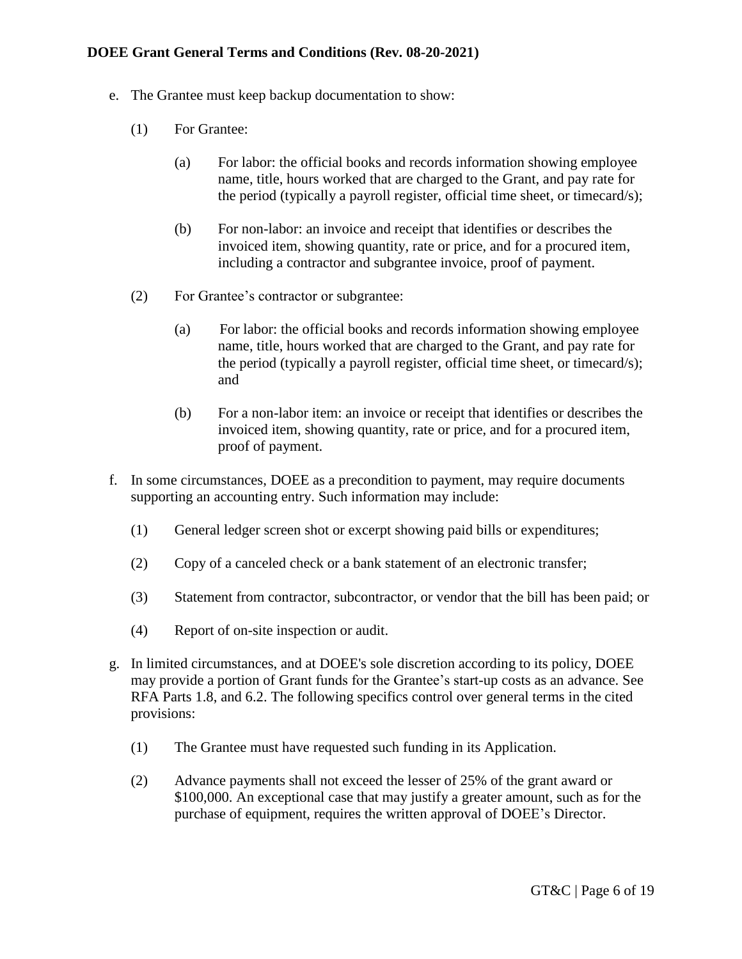- e. The Grantee must keep backup documentation to show:
	- (1) For Grantee:
		- (a) For labor: the official books and records information showing employee name, title, hours worked that are charged to the Grant, and pay rate for the period (typically a payroll register, official time sheet, or timecard/s);
		- (b) For non-labor: an invoice and receipt that identifies or describes the invoiced item, showing quantity, rate or price, and for a procured item, including a contractor and subgrantee invoice, proof of payment.
	- (2) For Grantee's contractor or subgrantee:
		- (a) For labor: the official books and records information showing employee name, title, hours worked that are charged to the Grant, and pay rate for the period (typically a payroll register, official time sheet, or timecard/s); and
		- (b) For a non-labor item: an invoice or receipt that identifies or describes the invoiced item, showing quantity, rate or price, and for a procured item, proof of payment.
- f. In some circumstances, DOEE as a precondition to payment, may require documents supporting an accounting entry. Such information may include:
	- (1) General ledger screen shot or excerpt showing paid bills or expenditures;
	- (2) Copy of a canceled check or a bank statement of an electronic transfer;
	- (3) Statement from contractor, subcontractor, or vendor that the bill has been paid; or
	- (4) Report of on-site inspection or audit.
- g. In limited circumstances, and at DOEE's sole discretion according to its policy, DOEE may provide a portion of Grant funds for the Grantee's start-up costs as an advance. See RFA Parts 1.8, and 6.2. The following specifics control over general terms in the cited provisions:
	- (1) The Grantee must have requested such funding in its Application.
	- (2) Advance payments shall not exceed the lesser of 25% of the grant award or \$100,000. An exceptional case that may justify a greater amount, such as for the purchase of equipment, requires the written approval of DOEE's Director.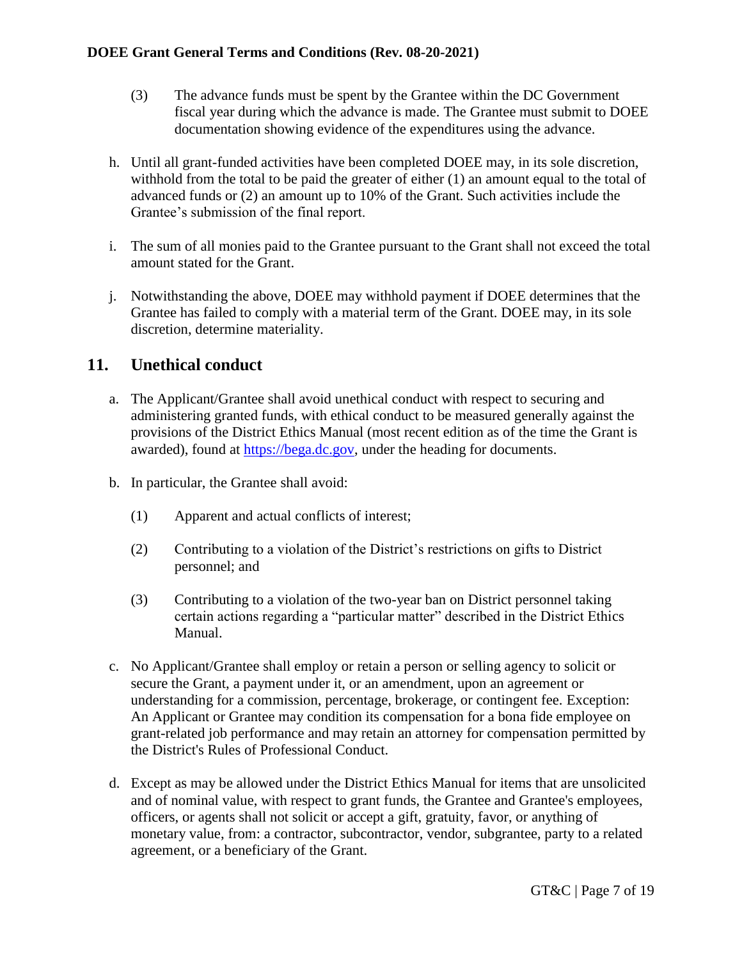- (3) The advance funds must be spent by the Grantee within the DC Government fiscal year during which the advance is made. The Grantee must submit to DOEE documentation showing evidence of the expenditures using the advance.
- h. Until all grant-funded activities have been completed DOEE may, in its sole discretion, withhold from the total to be paid the greater of either  $(1)$  an amount equal to the total of advanced funds or (2) an amount up to 10% of the Grant. Such activities include the Grantee's submission of the final report.
- i. The sum of all monies paid to the Grantee pursuant to the Grant shall not exceed the total amount stated for the Grant.
- j. Notwithstanding the above, DOEE may withhold payment if DOEE determines that the Grantee has failed to comply with a material term of the Grant. DOEE may, in its sole discretion, determine materiality.

# <span id="page-6-0"></span>**11. Unethical conduct**

- a. The Applicant/Grantee shall avoid unethical conduct with respect to securing and administering granted funds, with ethical conduct to be measured generally against the provisions of the District Ethics Manual (most recent edition as of the time the Grant is awarded), found at [https://bega.dc.gov,](https://bega.dc.gov/) under the heading for documents.
- b. In particular, the Grantee shall avoid:
	- (1) Apparent and actual conflicts of interest;
	- (2) Contributing to a violation of the District's restrictions on gifts to District personnel; and
	- (3) Contributing to a violation of the two-year ban on District personnel taking certain actions regarding a "particular matter" described in the District Ethics Manual.
- c. No Applicant/Grantee shall employ or retain a person or selling agency to solicit or secure the Grant, a payment under it, or an amendment, upon an agreement or understanding for a commission, percentage, brokerage, or contingent fee. Exception: An Applicant or Grantee may condition its compensation for a bona fide employee on grant-related job performance and may retain an attorney for compensation permitted by the District's Rules of Professional Conduct.
- d. Except as may be allowed under the District Ethics Manual for items that are unsolicited and of nominal value, with respect to grant funds, the Grantee and Grantee's employees, officers, or agents shall not solicit or accept a gift, gratuity, favor, or anything of monetary value, from: a contractor, subcontractor, vendor, subgrantee, party to a related agreement, or a beneficiary of the Grant.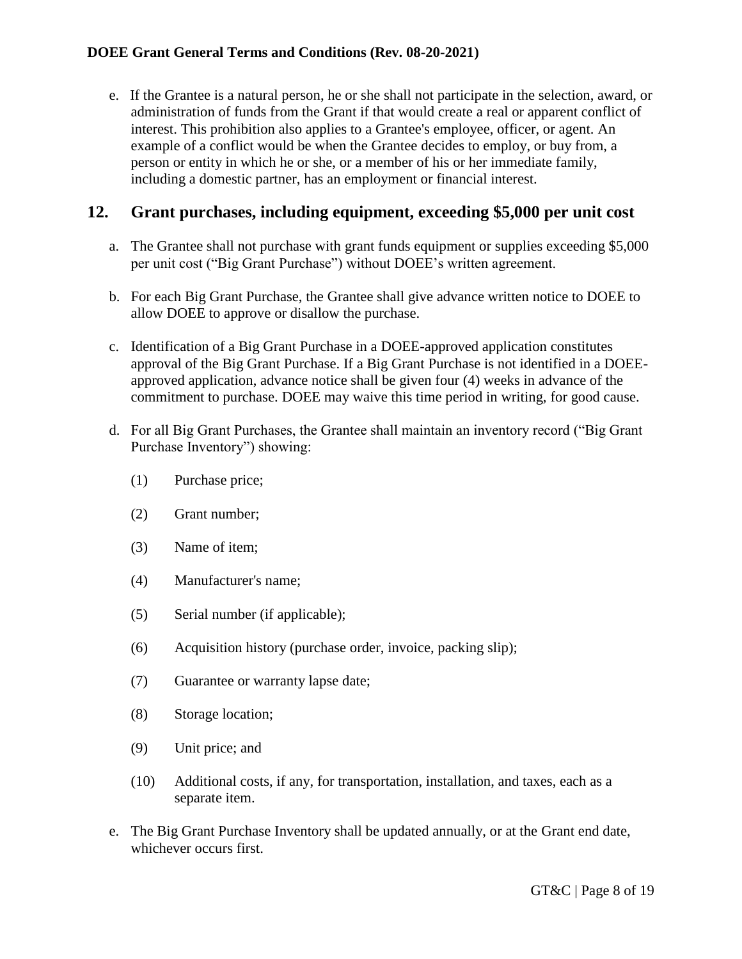e. If the Grantee is a natural person, he or she shall not participate in the selection, award, or administration of funds from the Grant if that would create a real or apparent conflict of interest. This prohibition also applies to a Grantee's employee, officer, or agent. An example of a conflict would be when the Grantee decides to employ, or buy from, a person or entity in which he or she, or a member of his or her immediate family, including a domestic partner, has an employment or financial interest.

# <span id="page-7-0"></span>**12. Grant purchases, including equipment, exceeding \$5,000 per unit cost**

- a. The Grantee shall not purchase with grant funds equipment or supplies exceeding \$5,000 per unit cost ("Big Grant Purchase") without DOEE's written agreement.
- b. For each Big Grant Purchase, the Grantee shall give advance written notice to DOEE to allow DOEE to approve or disallow the purchase.
- c. Identification of a Big Grant Purchase in a DOEE-approved application constitutes approval of the Big Grant Purchase. If a Big Grant Purchase is not identified in a DOEEapproved application, advance notice shall be given four (4) weeks in advance of the commitment to purchase. DOEE may waive this time period in writing, for good cause.
- d. For all Big Grant Purchases, the Grantee shall maintain an inventory record ("Big Grant Purchase Inventory") showing:
	- (1) Purchase price;
	- (2) Grant number;
	- (3) Name of item;
	- (4) Manufacturer's name;
	- (5) Serial number (if applicable);
	- (6) Acquisition history (purchase order, invoice, packing slip);
	- (7) Guarantee or warranty lapse date;
	- (8) Storage location;
	- (9) Unit price; and
	- (10) Additional costs, if any, for transportation, installation, and taxes, each as a separate item.
- e. The Big Grant Purchase Inventory shall be updated annually, or at the Grant end date, whichever occurs first.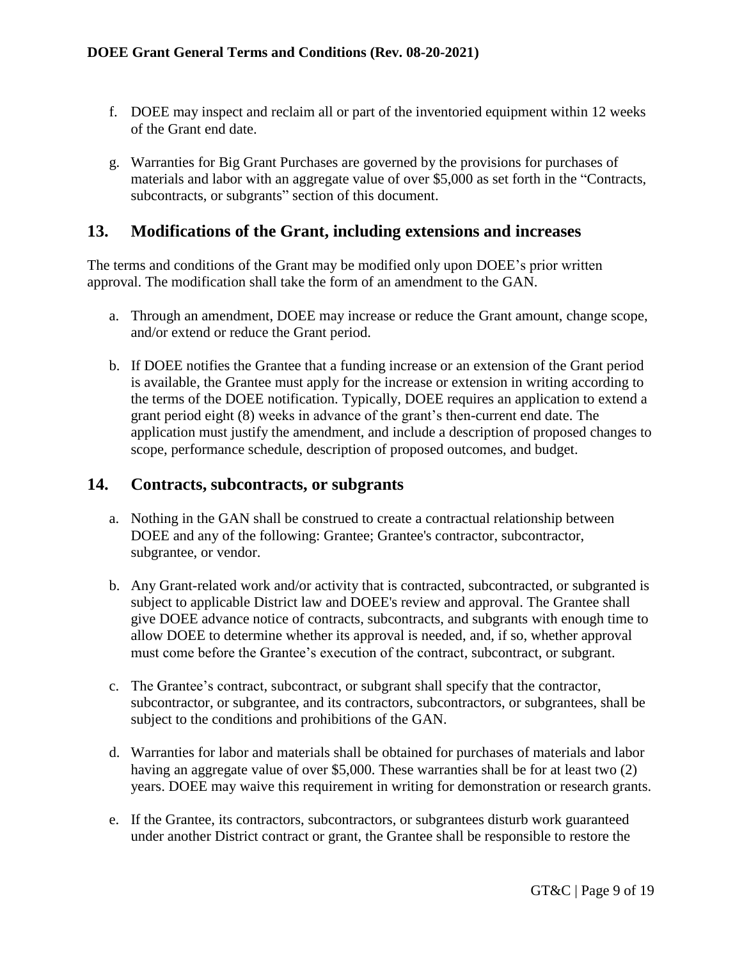- f. DOEE may inspect and reclaim all or part of the inventoried equipment within 12 weeks of the Grant end date.
- g. Warranties for Big Grant Purchases are governed by the provisions for purchases of materials and labor with an aggregate value of over \$5,000 as set forth in the "Contracts, subcontracts, or subgrants" section of this document.

#### <span id="page-8-0"></span>**13. Modifications of the Grant, including extensions and increases**

The terms and conditions of the Grant may be modified only upon DOEE's prior written approval. The modification shall take the form of an amendment to the GAN.

- a. Through an amendment, DOEE may increase or reduce the Grant amount, change scope, and/or extend or reduce the Grant period.
- b. If DOEE notifies the Grantee that a funding increase or an extension of the Grant period is available, the Grantee must apply for the increase or extension in writing according to the terms of the DOEE notification. Typically, DOEE requires an application to extend a grant period eight (8) weeks in advance of the grant's then-current end date. The application must justify the amendment, and include a description of proposed changes to scope, performance schedule, description of proposed outcomes, and budget.

#### <span id="page-8-1"></span>**14. Contracts, subcontracts, or subgrants**

- a. Nothing in the GAN shall be construed to create a contractual relationship between DOEE and any of the following: Grantee; Grantee's contractor, subcontractor, subgrantee, or vendor.
- b. Any Grant-related work and/or activity that is contracted, subcontracted, or subgranted is subject to applicable District law and DOEE's review and approval. The Grantee shall give DOEE advance notice of contracts, subcontracts, and subgrants with enough time to allow DOEE to determine whether its approval is needed, and, if so, whether approval must come before the Grantee's execution of the contract, subcontract, or subgrant.
- c. The Grantee's contract, subcontract, or subgrant shall specify that the contractor, subcontractor, or subgrantee, and its contractors, subcontractors, or subgrantees, shall be subject to the conditions and prohibitions of the GAN.
- d. Warranties for labor and materials shall be obtained for purchases of materials and labor having an aggregate value of over \$5,000. These warranties shall be for at least two (2) years. DOEE may waive this requirement in writing for demonstration or research grants.
- e. If the Grantee, its contractors, subcontractors, or subgrantees disturb work guaranteed under another District contract or grant, the Grantee shall be responsible to restore the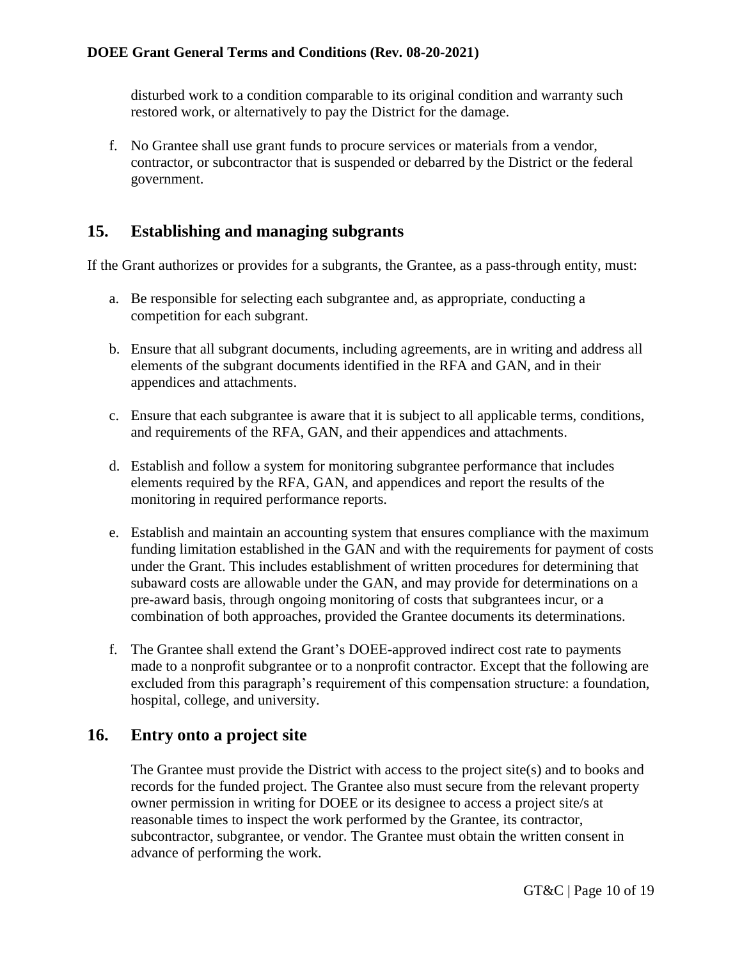disturbed work to a condition comparable to its original condition and warranty such restored work, or alternatively to pay the District for the damage.

f. No Grantee shall use grant funds to procure services or materials from a vendor, contractor, or subcontractor that is suspended or debarred by the District or the federal government.

# <span id="page-9-0"></span>**15. Establishing and managing subgrants**

If the Grant authorizes or provides for a subgrants, the Grantee, as a pass-through entity, must:

- a. Be responsible for selecting each subgrantee and, as appropriate, conducting a competition for each subgrant.
- b. Ensure that all subgrant documents, including agreements, are in writing and address all elements of the subgrant documents identified in the RFA and GAN, and in their appendices and attachments.
- c. Ensure that each subgrantee is aware that it is subject to all applicable terms, conditions, and requirements of the RFA, GAN, and their appendices and attachments.
- d. Establish and follow a system for monitoring subgrantee performance that includes elements required by the RFA, GAN, and appendices and report the results of the monitoring in required performance reports.
- e. Establish and maintain an accounting system that ensures compliance with the maximum funding limitation established in the GAN and with the requirements for payment of costs under the Grant. This includes establishment of written procedures for determining that subaward costs are allowable under the GAN, and may provide for determinations on a pre-award basis, through ongoing monitoring of costs that subgrantees incur, or a combination of both approaches, provided the Grantee documents its determinations.
- f. The Grantee shall extend the Grant's DOEE-approved indirect cost rate to payments made to a nonprofit subgrantee or to a nonprofit contractor. Except that the following are excluded from this paragraph's requirement of this compensation structure: a foundation, hospital, college, and university.

## <span id="page-9-1"></span>**16. Entry onto a project site**

The Grantee must provide the District with access to the project site(s) and to books and records for the funded project. The Grantee also must secure from the relevant property owner permission in writing for DOEE or its designee to access a project site/s at reasonable times to inspect the work performed by the Grantee, its contractor, subcontractor, subgrantee, or vendor. The Grantee must obtain the written consent in advance of performing the work.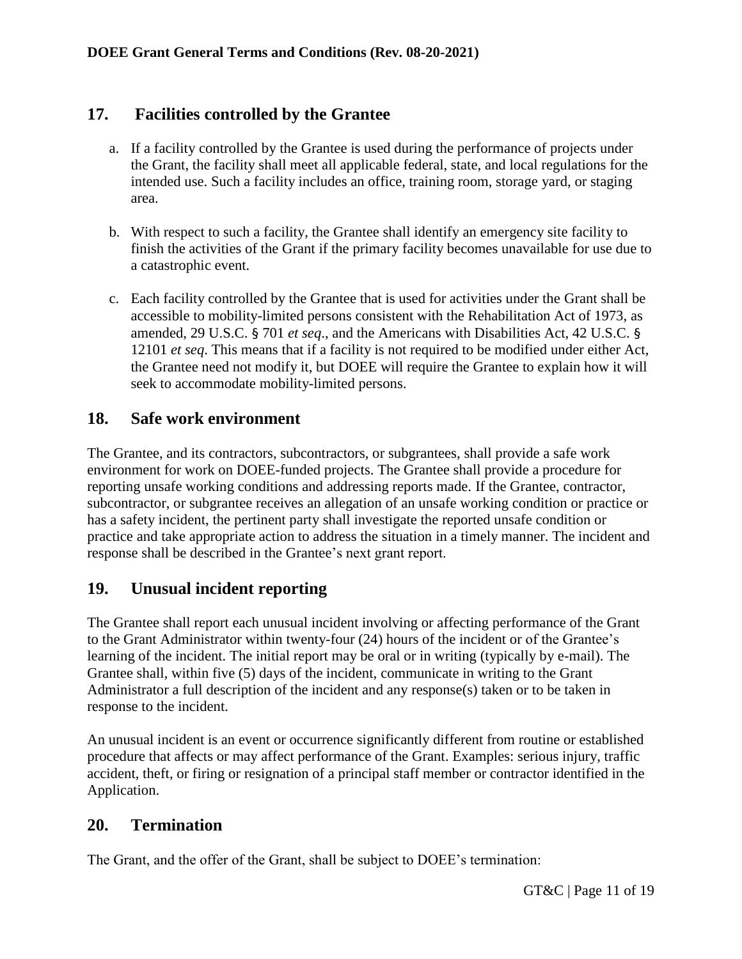# **17. Facilities controlled by the Grantee**

- <span id="page-10-0"></span>a. If a facility controlled by the Grantee is used during the performance of projects under the Grant, the facility shall meet all applicable federal, state, and local regulations for the intended use. Such a facility includes an office, training room, storage yard, or staging area.
- b. With respect to such a facility, the Grantee shall identify an emergency site facility to finish the activities of the Grant if the primary facility becomes unavailable for use due to a catastrophic event.
- c. Each facility controlled by the Grantee that is used for activities under the Grant shall be accessible to mobility-limited persons consistent with the Rehabilitation Act of 1973, as amended, 29 U.S.C. § 701 *et seq*., and the Americans with Disabilities Act, 42 U.S.C. § 12101 *et seq*. This means that if a facility is not required to be modified under either Act, the Grantee need not modify it, but DOEE will require the Grantee to explain how it will seek to accommodate mobility-limited persons.

# <span id="page-10-1"></span>**18. Safe work environment**

The Grantee, and its contractors, subcontractors, or subgrantees, shall provide a safe work environment for work on DOEE-funded projects. The Grantee shall provide a procedure for reporting unsafe working conditions and addressing reports made. If the Grantee, contractor, subcontractor, or subgrantee receives an allegation of an unsafe working condition or practice or has a safety incident, the pertinent party shall investigate the reported unsafe condition or practice and take appropriate action to address the situation in a timely manner. The incident and response shall be described in the Grantee's next grant report.

# <span id="page-10-2"></span>**19. Unusual incident reporting**

The Grantee shall report each unusual incident involving or affecting performance of the Grant to the Grant Administrator within twenty-four (24) hours of the incident or of the Grantee's learning of the incident. The initial report may be oral or in writing (typically by e-mail). The Grantee shall, within five (5) days of the incident, communicate in writing to the Grant Administrator a full description of the incident and any response(s) taken or to be taken in response to the incident.

An unusual incident is an event or occurrence significantly different from routine or established procedure that affects or may affect performance of the Grant. Examples: serious injury, traffic accident, theft, or firing or resignation of a principal staff member or contractor identified in the Application.

## <span id="page-10-3"></span>**20. Termination**

The Grant, and the offer of the Grant, shall be subject to DOEE's termination: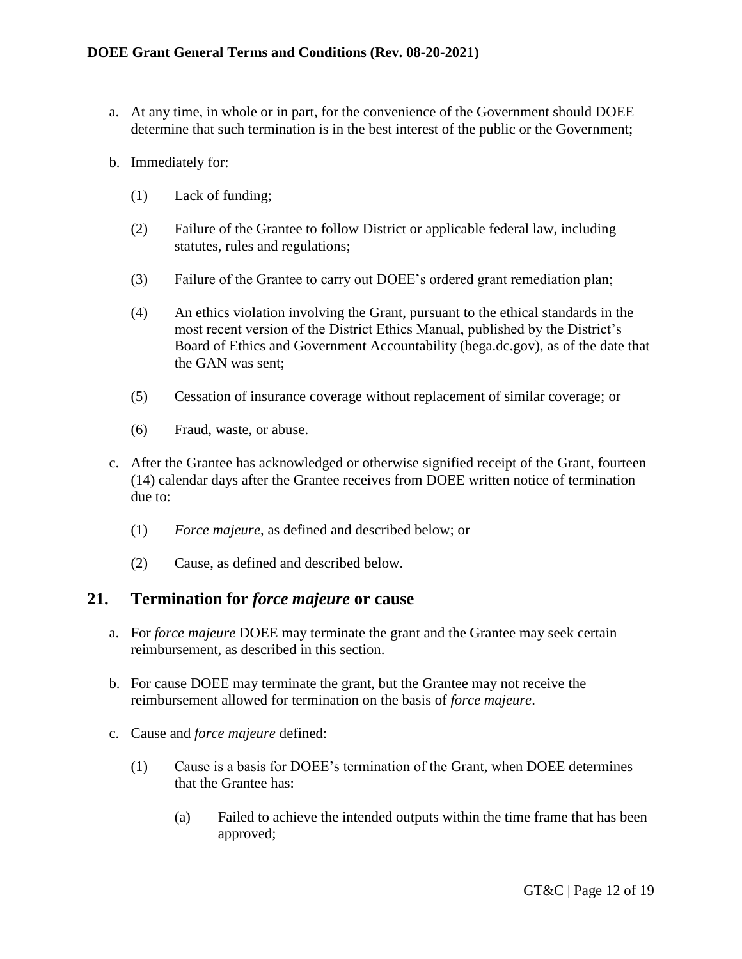- a. At any time, in whole or in part, for the convenience of the Government should DOEE determine that such termination is in the best interest of the public or the Government;
- b. Immediately for:
	- (1) Lack of funding;
	- (2) Failure of the Grantee to follow District or applicable federal law, including statutes, rules and regulations;
	- (3) Failure of the Grantee to carry out DOEE's ordered grant remediation plan;
	- (4) An ethics violation involving the Grant, pursuant to the ethical standards in the most recent version of the District Ethics Manual, published by the District's Board of Ethics and Government Accountability (bega.dc.gov), as of the date that the GAN was sent;
	- (5) Cessation of insurance coverage without replacement of similar coverage; or
	- (6) Fraud, waste, or abuse.
- c. After the Grantee has acknowledged or otherwise signified receipt of the Grant, fourteen (14) calendar days after the Grantee receives from DOEE written notice of termination due to:
	- (1) *Force majeure*, as defined and described below; or
	- (2) Cause, as defined and described below.

#### <span id="page-11-0"></span>**21. Termination for** *force majeure* **or cause**

- a. For *force majeure* DOEE may terminate the grant and the Grantee may seek certain reimbursement, as described in this section.
- b. For cause DOEE may terminate the grant, but the Grantee may not receive the reimbursement allowed for termination on the basis of *force majeure*.
- c. Cause and *force majeure* defined:
	- (1) Cause is a basis for DOEE's termination of the Grant, when DOEE determines that the Grantee has:
		- (a) Failed to achieve the intended outputs within the time frame that has been approved;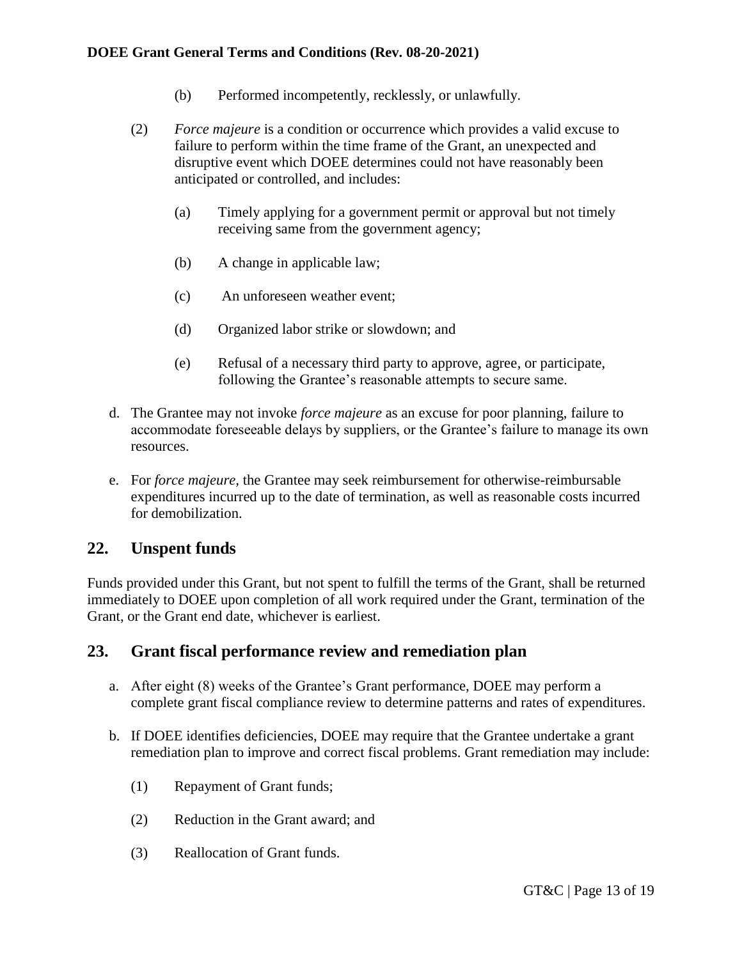- (b) Performed incompetently, recklessly, or unlawfully.
- (2) *Force majeure* is a condition or occurrence which provides a valid excuse to failure to perform within the time frame of the Grant, an unexpected and disruptive event which DOEE determines could not have reasonably been anticipated or controlled, and includes:
	- (a) Timely applying for a government permit or approval but not timely receiving same from the government agency;
	- (b) A change in applicable law;
	- (c) An unforeseen weather event;
	- (d) Organized labor strike or slowdown; and
	- (e) Refusal of a necessary third party to approve, agree, or participate, following the Grantee's reasonable attempts to secure same.
- d. The Grantee may not invoke *force majeure* as an excuse for poor planning, failure to accommodate foreseeable delays by suppliers, or the Grantee's failure to manage its own resources.
- e. For *force majeure,* the Grantee may seek reimbursement for otherwise-reimbursable expenditures incurred up to the date of termination, as well as reasonable costs incurred for demobilization.

## <span id="page-12-0"></span>**22. Unspent funds**

Funds provided under this Grant, but not spent to fulfill the terms of the Grant, shall be returned immediately to DOEE upon completion of all work required under the Grant, termination of the Grant, or the Grant end date, whichever is earliest.

## <span id="page-12-1"></span>**23. Grant fiscal performance review and remediation plan**

- a. After eight (8) weeks of the Grantee's Grant performance, DOEE may perform a complete grant fiscal compliance review to determine patterns and rates of expenditures.
- b. If DOEE identifies deficiencies, DOEE may require that the Grantee undertake a grant remediation plan to improve and correct fiscal problems. Grant remediation may include:
	- (1) Repayment of Grant funds;
	- (2) Reduction in the Grant award; and
	- (3) Reallocation of Grant funds.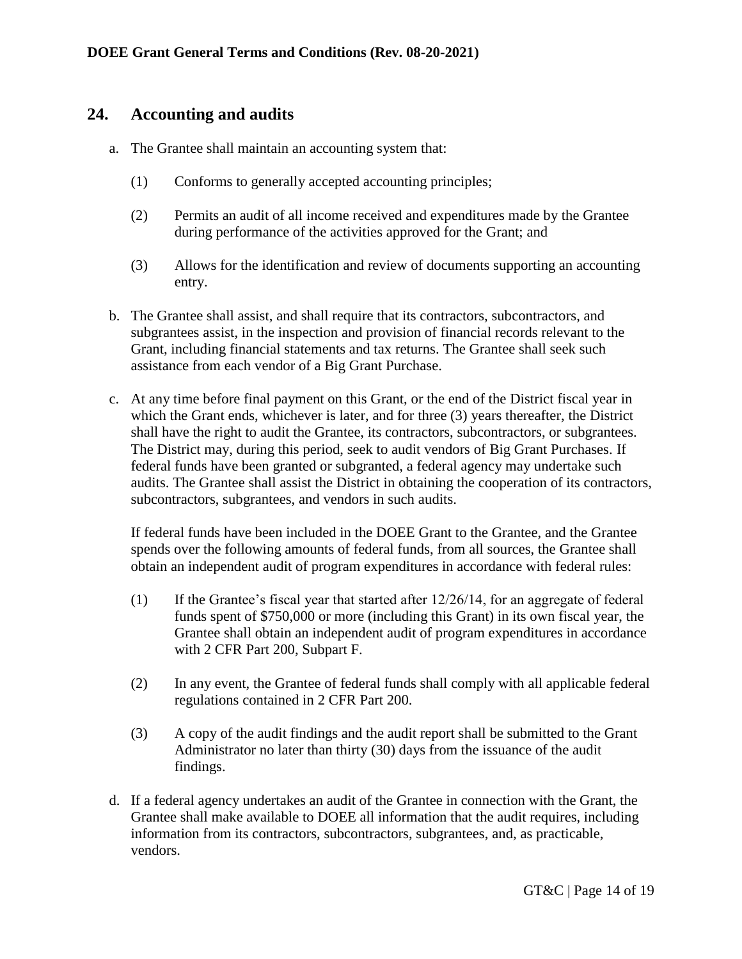#### <span id="page-13-0"></span>**24. Accounting and audits**

- a. The Grantee shall maintain an accounting system that:
	- (1) Conforms to generally accepted accounting principles;
	- (2) Permits an audit of all income received and expenditures made by the Grantee during performance of the activities approved for the Grant; and
	- (3) Allows for the identification and review of documents supporting an accounting entry.
- b. The Grantee shall assist, and shall require that its contractors, subcontractors, and subgrantees assist, in the inspection and provision of financial records relevant to the Grant, including financial statements and tax returns. The Grantee shall seek such assistance from each vendor of a Big Grant Purchase.
- c. At any time before final payment on this Grant, or the end of the District fiscal year in which the Grant ends, whichever is later, and for three (3) years thereafter, the District shall have the right to audit the Grantee, its contractors, subcontractors, or subgrantees. The District may, during this period, seek to audit vendors of Big Grant Purchases. If federal funds have been granted or subgranted, a federal agency may undertake such audits. The Grantee shall assist the District in obtaining the cooperation of its contractors, subcontractors, subgrantees, and vendors in such audits.

If federal funds have been included in the DOEE Grant to the Grantee, and the Grantee spends over the following amounts of federal funds, from all sources, the Grantee shall obtain an independent audit of program expenditures in accordance with federal rules:

- (1) If the Grantee's fiscal year that started after 12/26/14, for an aggregate of federal funds spent of \$750,000 or more (including this Grant) in its own fiscal year, the Grantee shall obtain an independent audit of program expenditures in accordance with 2 CFR Part 200, Subpart F.
- (2) In any event, the Grantee of federal funds shall comply with all applicable federal regulations contained in 2 CFR Part 200.
- (3) A copy of the audit findings and the audit report shall be submitted to the Grant Administrator no later than thirty (30) days from the issuance of the audit findings.
- d. If a federal agency undertakes an audit of the Grantee in connection with the Grant, the Grantee shall make available to DOEE all information that the audit requires, including information from its contractors, subcontractors, subgrantees, and, as practicable, vendors.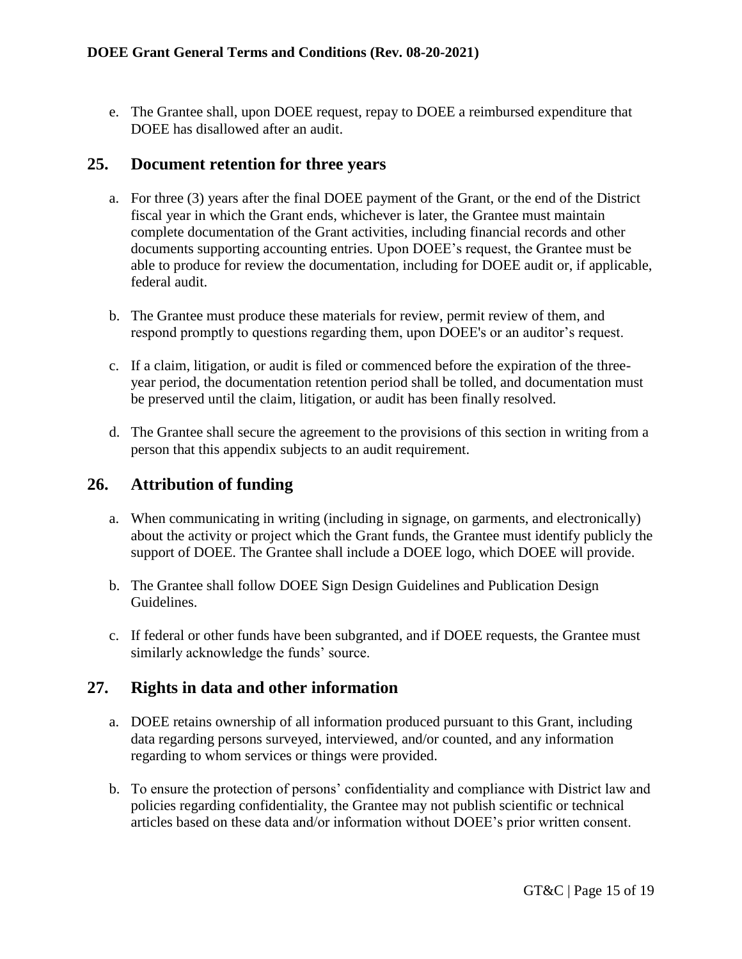e. The Grantee shall, upon DOEE request, repay to DOEE a reimbursed expenditure that DOEE has disallowed after an audit.

#### <span id="page-14-0"></span>**25. Document retention for three years**

- a. For three (3) years after the final DOEE payment of the Grant, or the end of the District fiscal year in which the Grant ends, whichever is later, the Grantee must maintain complete documentation of the Grant activities, including financial records and other documents supporting accounting entries. Upon DOEE's request, the Grantee must be able to produce for review the documentation, including for DOEE audit or, if applicable, federal audit.
- b. The Grantee must produce these materials for review, permit review of them, and respond promptly to questions regarding them, upon DOEE's or an auditor's request.
- c. If a claim, litigation, or audit is filed or commenced before the expiration of the threeyear period, the documentation retention period shall be tolled, and documentation must be preserved until the claim, litigation, or audit has been finally resolved.
- d. The Grantee shall secure the agreement to the provisions of this section in writing from a person that this appendix subjects to an audit requirement.

# <span id="page-14-1"></span>**26. Attribution of funding**

- a. When communicating in writing (including in signage, on garments, and electronically) about the activity or project which the Grant funds, the Grantee must identify publicly the support of DOEE. The Grantee shall include a DOEE logo, which DOEE will provide.
- b. The Grantee shall follow DOEE Sign Design Guidelines and Publication Design Guidelines.
- c. If federal or other funds have been subgranted, and if DOEE requests, the Grantee must similarly acknowledge the funds' source.

## <span id="page-14-2"></span>**27. Rights in data and other information**

- a. DOEE retains ownership of all information produced pursuant to this Grant, including data regarding persons surveyed, interviewed, and/or counted, and any information regarding to whom services or things were provided.
- b. To ensure the protection of persons' confidentiality and compliance with District law and policies regarding confidentiality, the Grantee may not publish scientific or technical articles based on these data and/or information without DOEE's prior written consent.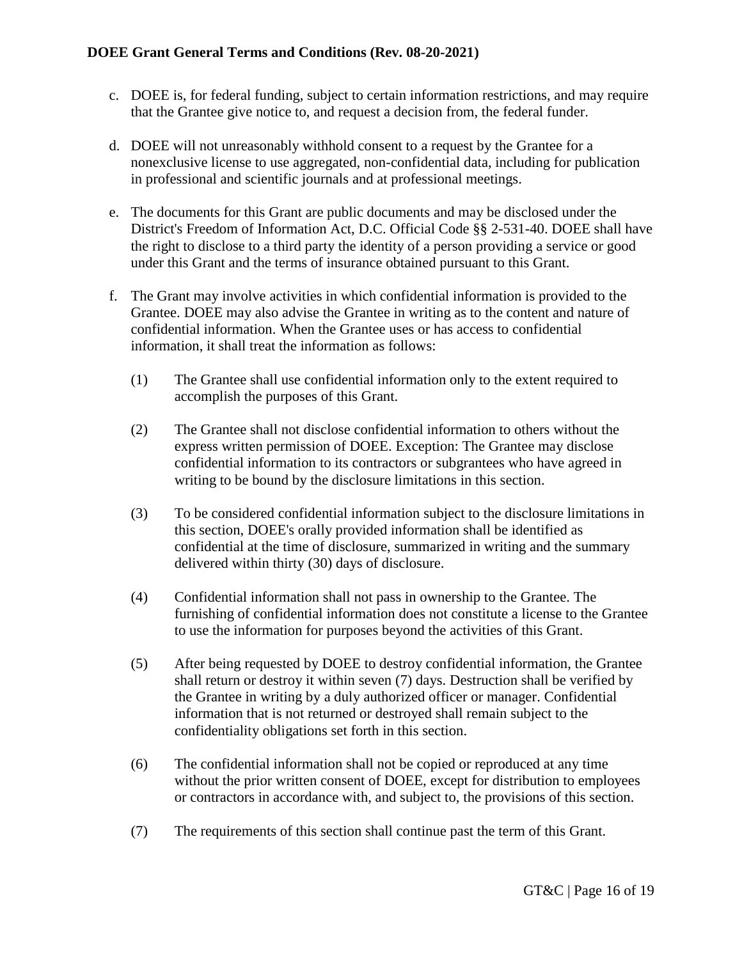- c. DOEE is, for federal funding, subject to certain information restrictions, and may require that the Grantee give notice to, and request a decision from, the federal funder.
- d. DOEE will not unreasonably withhold consent to a request by the Grantee for a nonexclusive license to use aggregated, non-confidential data, including for publication in professional and scientific journals and at professional meetings.
- e. The documents for this Grant are public documents and may be disclosed under the District's Freedom of Information Act, D.C. Official Code §§ 2-531-40. DOEE shall have the right to disclose to a third party the identity of a person providing a service or good under this Grant and the terms of insurance obtained pursuant to this Grant.
- f. The Grant may involve activities in which confidential information is provided to the Grantee. DOEE may also advise the Grantee in writing as to the content and nature of confidential information. When the Grantee uses or has access to confidential information, it shall treat the information as follows:
	- (1) The Grantee shall use confidential information only to the extent required to accomplish the purposes of this Grant.
	- (2) The Grantee shall not disclose confidential information to others without the express written permission of DOEE. Exception: The Grantee may disclose confidential information to its contractors or subgrantees who have agreed in writing to be bound by the disclosure limitations in this section.
	- (3) To be considered confidential information subject to the disclosure limitations in this section, DOEE's orally provided information shall be identified as confidential at the time of disclosure, summarized in writing and the summary delivered within thirty (30) days of disclosure.
	- (4) Confidential information shall not pass in ownership to the Grantee. The furnishing of confidential information does not constitute a license to the Grantee to use the information for purposes beyond the activities of this Grant.
	- (5) After being requested by DOEE to destroy confidential information, the Grantee shall return or destroy it within seven (7) days. Destruction shall be verified by the Grantee in writing by a duly authorized officer or manager. Confidential information that is not returned or destroyed shall remain subject to the confidentiality obligations set forth in this section.
	- (6) The confidential information shall not be copied or reproduced at any time without the prior written consent of DOEE, except for distribution to employees or contractors in accordance with, and subject to, the provisions of this section.
	- (7) The requirements of this section shall continue past the term of this Grant.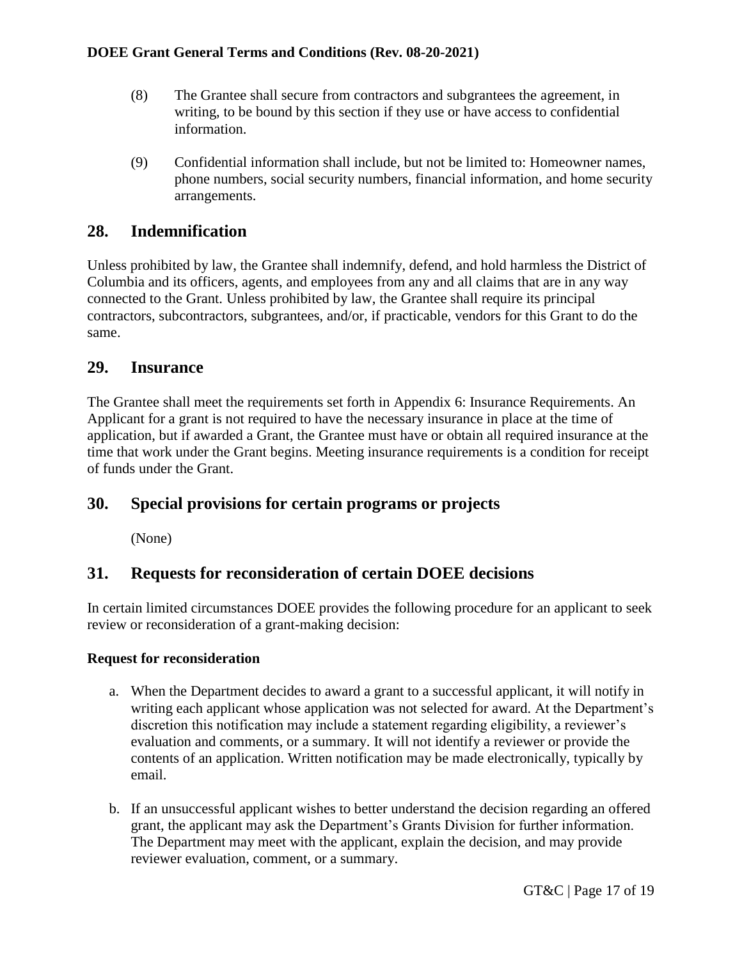- (8) The Grantee shall secure from contractors and subgrantees the agreement, in writing, to be bound by this section if they use or have access to confidential information.
- (9) Confidential information shall include, but not be limited to: Homeowner names, phone numbers, social security numbers, financial information, and home security arrangements.

# <span id="page-16-0"></span>**28. Indemnification**

Unless prohibited by law, the Grantee shall indemnify, defend, and hold harmless the District of Columbia and its officers, agents, and employees from any and all claims that are in any way connected to the Grant. Unless prohibited by law, the Grantee shall require its principal contractors, subcontractors, subgrantees, and/or, if practicable, vendors for this Grant to do the same.

## <span id="page-16-1"></span>**29. Insurance**

The Grantee shall meet the requirements set forth in Appendix 6: Insurance Requirements. An Applicant for a grant is not required to have the necessary insurance in place at the time of application, but if awarded a Grant, the Grantee must have or obtain all required insurance at the time that work under the Grant begins. Meeting insurance requirements is a condition for receipt of funds under the Grant.

# <span id="page-16-2"></span>**30. Special provisions for certain programs or projects**

(None)

## <span id="page-16-3"></span>**31. Requests for reconsideration of certain DOEE decisions**

In certain limited circumstances DOEE provides the following procedure for an applicant to seek review or reconsideration of a grant-making decision:

#### **Request for reconsideration**

- a. When the Department decides to award a grant to a successful applicant, it will notify in writing each applicant whose application was not selected for award. At the Department's discretion this notification may include a statement regarding eligibility, a reviewer's evaluation and comments, or a summary. It will not identify a reviewer or provide the contents of an application. Written notification may be made electronically, typically by email.
- b. If an unsuccessful applicant wishes to better understand the decision regarding an offered grant, the applicant may ask the Department's Grants Division for further information. The Department may meet with the applicant, explain the decision, and may provide reviewer evaluation, comment, or a summary.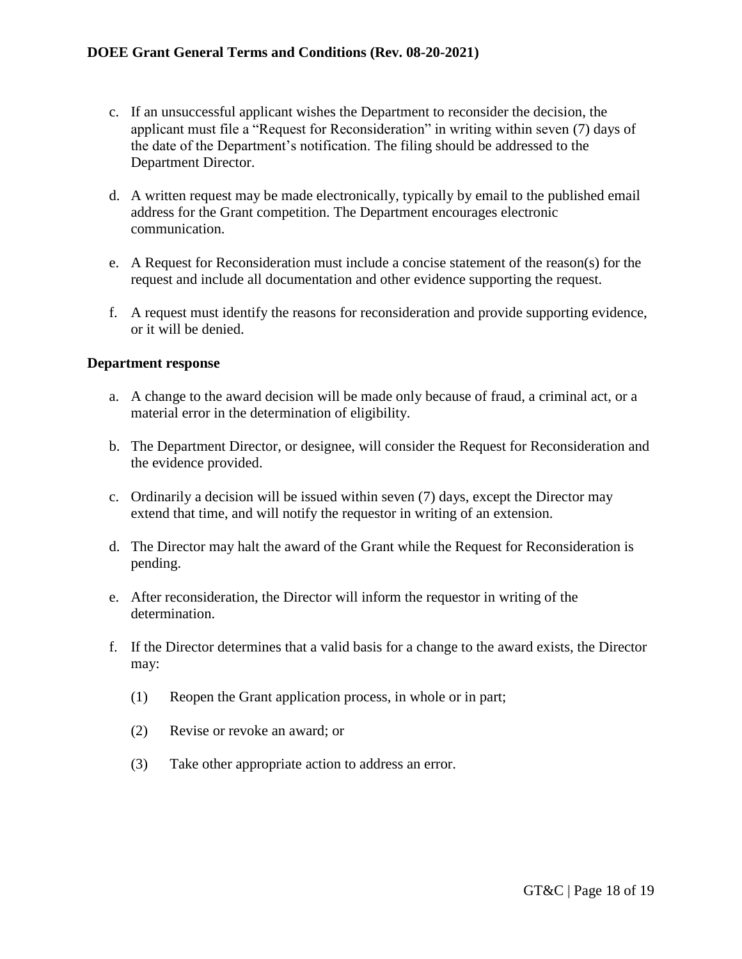- c. If an unsuccessful applicant wishes the Department to reconsider the decision, the applicant must file a "Request for Reconsideration" in writing within seven (7) days of the date of the Department's notification. The filing should be addressed to the Department Director.
- d. A written request may be made electronically, typically by email to the published email address for the Grant competition. The Department encourages electronic communication.
- e. A Request for Reconsideration must include a concise statement of the reason(s) for the request and include all documentation and other evidence supporting the request.
- f. A request must identify the reasons for reconsideration and provide supporting evidence, or it will be denied.

#### **Department response**

- a. A change to the award decision will be made only because of fraud, a criminal act, or a material error in the determination of eligibility.
- b. The Department Director, or designee, will consider the Request for Reconsideration and the evidence provided.
- c. Ordinarily a decision will be issued within seven (7) days, except the Director may extend that time, and will notify the requestor in writing of an extension.
- d. The Director may halt the award of the Grant while the Request for Reconsideration is pending.
- e. After reconsideration, the Director will inform the requestor in writing of the determination.
- f. If the Director determines that a valid basis for a change to the award exists, the Director may:
	- (1) Reopen the Grant application process, in whole or in part;
	- (2) Revise or revoke an award; or
	- (3) Take other appropriate action to address an error.